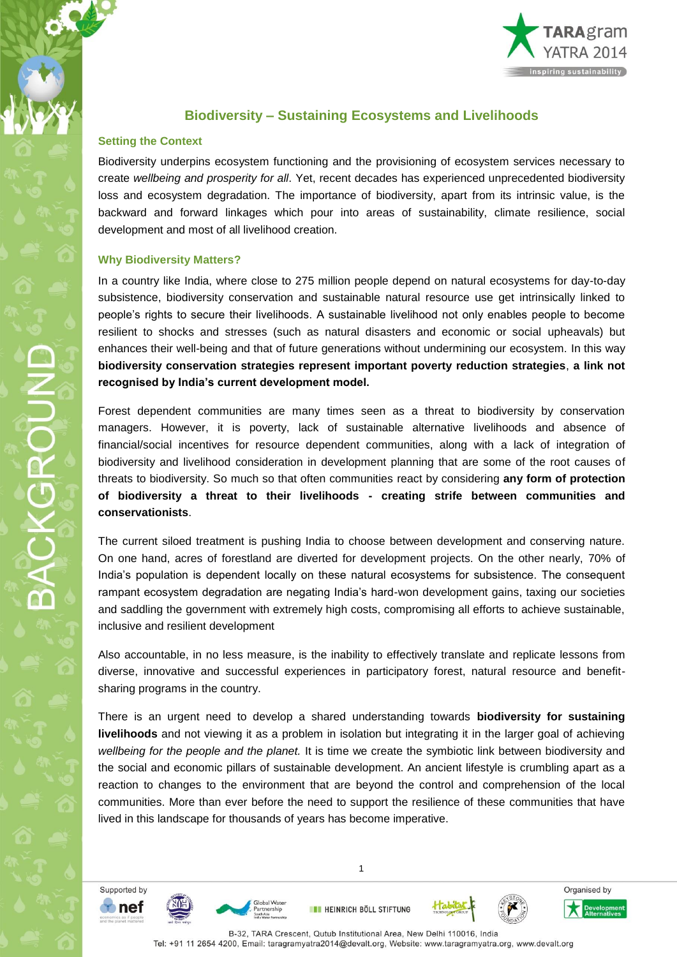## **Biodiversity – Sustaining Ecosystems and Livelihoods**

## **Setting the Context**

Biodiversity underpins ecosystem functioning and the provisioning of ecosystem services necessary to create *wellbeing and prosperity for all*. Yet, recent decades has experienced unprecedented biodiversity loss and ecosystem degradation. The importance of biodiversity, apart from its intrinsic value, is the backward and forward linkages which pour into areas of sustainability, climate resilience, social development and most of all livelihood creation.

## **Why Biodiversity Matters?**

In a country like India, where close to 275 million people depend on natural ecosystems for day-to-day subsistence, biodiversity conservation and sustainable natural resource use get intrinsically linked to people's rights to secure their livelihoods. A sustainable livelihood not only enables people to become resilient to shocks and stresses (such as natural disasters and economic or social upheavals) but enhances their well-being and that of future generations without undermining our ecosystem. In this way **biodiversity conservation strategies represent important poverty reduction strategies**, **a link not recognised by India's current development model.** 

Forest dependent communities are many times seen as a threat to biodiversity by conservation managers. However, it is poverty, lack of sustainable alternative livelihoods and absence of financial/social incentives for resource dependent communities, along with a lack of integration of biodiversity and livelihood consideration in development planning that are some of the root causes of threats to biodiversity. So much so that often communities react by considering **any form of protection of biodiversity a threat to their livelihoods - creating strife between communities and conservationists**.

The current siloed treatment is pushing India to choose between development and conserving nature. On one hand, acres of forestland are diverted for development projects. On the other nearly, 70% of India's population is dependent locally on these natural ecosystems for subsistence. The consequent rampant ecosystem degradation are negating India's hard-won development gains, taxing our societies and saddling the government with extremely high costs, compromising all efforts to achieve sustainable, inclusive and resilient development

Also accountable, in no less measure, is the inability to effectively translate and replicate lessons from diverse, innovative and successful experiences in participatory forest, natural resource and benefitsharing programs in the country.

There is an urgent need to develop a shared understanding towards **biodiversity for sustaining livelihoods** and not viewing it as a problem in isolation but integrating it in the larger goal of achieving *wellbeing for the people and the planet.* It is time we create the symbiotic link between biodiversity and the social and economic pillars of sustainable development. An ancient lifestyle is crumbling apart as a reaction to changes to the environment that are beyond the control and comprehension of the local communities. More than ever before the need to support the resilience of these communities that have lived in this landscape for thousands of years has become imperative.

Supported by  $\bullet$  nef

BACKGROUND





**EN HEINRICH BÖLL STIFTUNG** 

1